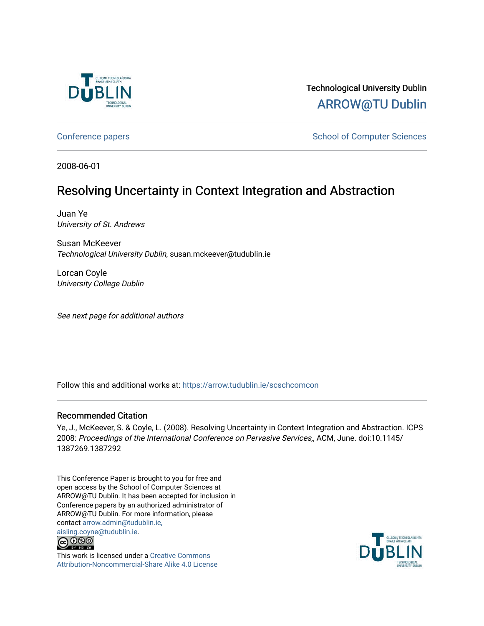

## Technological University Dublin [ARROW@TU Dublin](https://arrow.tudublin.ie/)

[Conference papers](https://arrow.tudublin.ie/scschcomcon) **School of Computer Sciences** School of Computer Sciences

2008-06-01

# Resolving Uncertainty in Context Integration and Abstraction

Juan Ye University of St. Andrews

Susan McKeever Technological University Dublin, susan.mckeever@tudublin.ie

Lorcan Coyle University College Dublin

See next page for additional authors

Follow this and additional works at: [https://arrow.tudublin.ie/scschcomcon](https://arrow.tudublin.ie/scschcomcon?utm_source=arrow.tudublin.ie%2Fscschcomcon%2F89&utm_medium=PDF&utm_campaign=PDFCoverPages)

## Recommended Citation

Ye, J., McKeever, S. & Coyle, L. (2008). Resolving Uncertainty in Context Integration and Abstraction. ICPS 2008: Proceedings of the International Conference on Pervasive Services,, ACM, June. doi:10.1145/ 1387269.1387292

This Conference Paper is brought to you for free and open access by the School of Computer Sciences at ARROW@TU Dublin. It has been accepted for inclusion in Conference papers by an authorized administrator of ARROW@TU Dublin. For more information, please contact [arrow.admin@tudublin.ie,](mailto:arrow.admin@tudublin.ie,%20aisling.coyne@tudublin.ie)  [aisling.coyne@tudublin.ie.](mailto:arrow.admin@tudublin.ie,%20aisling.coyne@tudublin.ie)



This work is licensed under a [Creative Commons](http://creativecommons.org/licenses/by-nc-sa/4.0/) [Attribution-Noncommercial-Share Alike 4.0 License](http://creativecommons.org/licenses/by-nc-sa/4.0/)

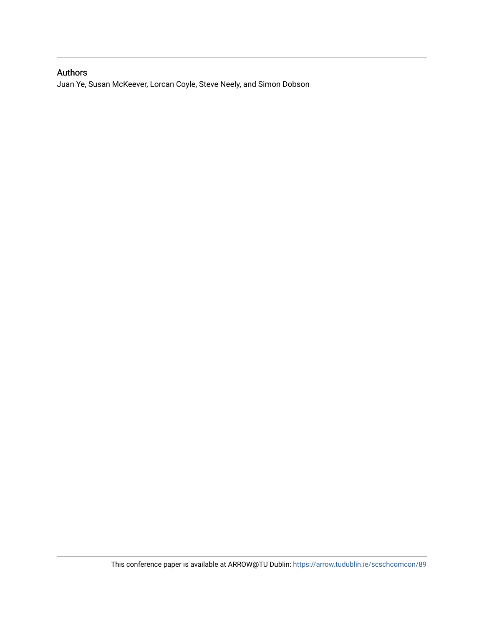## Authors

Juan Ye, Susan McKeever, Lorcan Coyle, Steve Neely, and Simon Dobson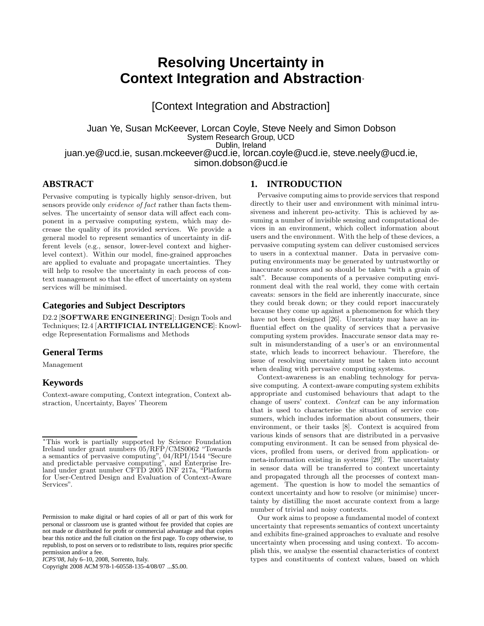# **Resolving Uncertainty in Context Integration and Abstraction**<sup>∗</sup>

[Context Integration and Abstraction]

Juan Ye, Susan McKeever, Lorcan Coyle, Steve Neely and Simon Dobson System Research Group, UCD Dublin, Ireland juan.ye@ucd.ie, susan.mckeever@ucd.ie, lorcan.coyle@ucd.ie, steve.neely@ucd.ie, simon.dobson@ucd.ie

## **ABSTRACT**

Pervasive computing is typically highly sensor-driven, but sensors provide only *evidence of fact* rather than facts themselves. The uncertainty of sensor data will affect each component in a pervasive computing system, which may decrease the quality of its provided services. We provide a general model to represent semantics of uncertainty in different levels (e.g., sensor, lower-level context and higherlevel context). Within our model, fine-grained approaches are applied to evaluate and propagate uncertainties. They will help to resolve the uncertainty in each process of context management so that the effect of uncertainty on system services will be minimised.

## **Categories and Subject Descriptors**

D2.2 [**SOFTWARE ENGINEERING**]: Design Tools and Techniques; I2.4 [**ARTIFICIAL INTELLIGENCE**]: Knowledge Representation Formalisms and Methods

#### **General Terms**

Management

### **Keywords**

Context-aware computing, Context integration, Context abstraction, Uncertainty, Bayes' Theorem

## **1. INTRODUCTION**

Pervasive computing aims to provide services that respond directly to their user and environment with minimal intrusiveness and inherent pro-activity. This is achieved by assuming a number of invisible sensing and computational devices in an environment, which collect information about users and the environment. With the help of these devices, a pervasive computing system can deliver customised services to users in a contextual manner. Data in pervasive computing environments may be generated by untrustworthy or inaccurate sources and so should be taken "with a grain of salt". Because components of a pervasive computing environment deal with the real world, they come with certain caveats: sensors in the field are inherently inaccurate, since they could break down; or they could report inaccurately because they come up against a phenomenon for which they have not been designed [26]. Uncertainty may have an influential effect on the quality of services that a pervasive computing system provides. Inaccurate sensor data may result in misunderstanding of a user's or an environmental state, which leads to incorrect behaviour. Therefore, the issue of resolving uncertainty must be taken into account when dealing with pervasive computing systems.

Context-awareness is an enabling technology for pervasive computing. A context-aware computing system exhibits appropriate and customised behaviours that adapt to the change of users' context. Context can be any information that is used to characterise the situation of service consumers, which includes information about consumers, their environment, or their tasks [8]. Context is acquired from various kinds of sensors that are distributed in a pervasive computing environment. It can be sensed from physical devices, profiled from users, or derived from application- or meta-information existing in systems [29]. The uncertainty in sensor data will be transferred to context uncertainty and propagated through all the processes of context management. The question is how to model the semantics of context uncertainty and how to resolve (or minimise) uncertainty by distilling the most accurate context from a large number of trivial and noisy contexts.

Our work aims to propose a fundamental model of context uncertainty that represents semantics of context uncertainty and exhibits fine-grained approaches to evaluate and resolve uncertainty when processing and using context. To accomplish this, we analyse the essential characteristics of context types and constituents of context values, based on which

<sup>∗</sup>This work is partially supported by Science Foundation Ireland under grant numbers 05/RFP/CMS0062 "Towards a semantics of pervasive computing",  $04/RPI/1544$  "Secure and predictable pervasive computing", and Enterprise Ireland under grant number CFTD 2005 INF 217a, "Platform for User-Centred Design and Evaluation of Context-Aware Services".

Permission to make digital or hard copies of all or part of this work for personal or classroom use is granted without fee provided that copies are not made or distributed for profit or commercial advantage and that copies bear this notice and the full citation on the first page. To copy otherwise, to republish, to post on servers or to redistribute to lists, requires prior specific permission and/or a fee.

*ICPS'08,* July 6–10, 2008, Sorrento, Italy.

Copyright 2008 ACM 978-1-60558-135-4/08/07 ...\$5.00.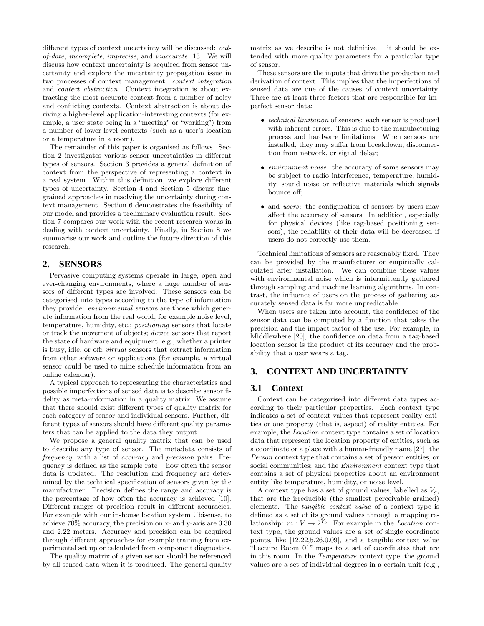different types of context uncertainty will be discussed: *out*of-date, incomplete, imprecise, and inaccurate [13]. We will discuss how context uncertainty is acquired from sensor uncertainty and explore the uncertainty propagation issue in two processes of context management: context integration and context abstraction. Context integration is about extracting the most accurate context from a number of noisy and conflicting contexts. Context abstraction is about deriving a higher-level application-interesting contexts (for example, a user state being in a "meeting" or "working") from a number of lower-level contexts (such as a user's location or a temperature in a room).

The remainder of this paper is organised as follows. Section 2 investigates various sensor uncertainties in different types of sensors. Section 3 provides a general definition of context from the perspective of representing a context in a real system. Within this definition, we explore different types of uncertainty. Section 4 and Section 5 discuss finegrained approaches in resolving the uncertainty during context management. Section 6 demonstrates the feasibility of our model and provides a preliminary evaluation result. Section 7 compares our work with the recent research works in dealing with context uncertainty. Finally, in Section 8 we summarise our work and outline the future direction of this research.

#### **2. SENSORS**

Pervasive computing systems operate in large, open and ever-changing environments, where a huge number of sensors of different types are involved. These sensors can be categorised into types according to the type of information they provide: environmental sensors are those which generate information from the real world, for example noise level, temperature, humidity, etc.; positioning sensors that locate or track the movement of objects; device sensors that report the state of hardware and equipment, e.g., whether a printer is busy, idle, or off; virtual sensors that extract information from other software or applications (for example, a virtual sensor could be used to mine schedule information from an online calendar).

A typical approach to representing the characteristics and possible imperfections of sensed data is to describe sensor fidelity as meta-information in a quality matrix. We assume that there should exist different types of quality matrix for each category of sensor and individual sensors. Further, different types of sensors should have different quality parameters that can be applied to the data they output.

We propose a general quality matrix that can be used to describe any type of sensor. The metadata consists of frequency, with a list of accuracy and precision pairs. Frequency is defined as the sample rate – how often the sensor data is updated. The resolution and frequency are determined by the technical specification of sensors given by the manufacturer. Precision defines the range and accuracy is the percentage of how often the accuracy is achieved [10]. Different ranges of precision result in different accuracies. For example with our in-house location system Ubisense, to achieve 70% accuracy, the precision on x- and y-axis are 3.30 and 2.22 meters. Accuracy and precision can be acquired through different approaches for example training from experimental set up or calculated from component diagnostics.

The quality matrix of a given sensor should be referenced by all sensed data when it is produced. The general quality matrix as we describe is not definitive – it should be extended with more quality parameters for a particular type of sensor.

These sensors are the inputs that drive the production and derivation of context. This implies that the imperfections of sensed data are one of the causes of context uncertainty. There are at least three factors that are responsible for imperfect sensor data:

- technical limitation of sensors: each sensor is produced with inherent errors. This is due to the manufacturing process and hardware limitations. When sensors are installed, they may suffer from breakdown, disconnection from network, or signal delay;
- *environment noise*: the accuracy of some sensors may be subject to radio interference, temperature, humidity, sound noise or reflective materials which signals bounce off;
- and *users*: the configuration of sensors by users may affect the accuracy of sensors. In addition, especially for physical devices (like tag-based positioning sensors), the reliability of their data will be decreased if users do not correctly use them.

Technical limitations of sensors are reasonably fixed. They can be provided by the manufacturer or empirically calculated after installation. We can combine these values with environmental noise which is intermittently gathered through sampling and machine learning algorithms. In contrast, the influence of users on the process of gathering accurately sensed data is far more unpredictable.

When users are taken into account, the confidence of the sensor data can be computed by a function that takes the precision and the impact factor of the use. For example, in Middlewhere [20], the confidence on data from a tag-based location sensor is the product of its accuracy and the probability that a user wears a tag.

## **3. CONTEXT AND UNCERTAINTY**

#### **3.1 Context**

Context can be categorised into different data types according to their particular properties. Each context type indicates a set of context values that represent reality entities or one property (that is, aspect) of reality entities. For example, the Location context type contains a set of location data that represent the location property of entities, such as a coordinate or a place with a human-friendly name [27]; the Person context type that contains a set of person entities, or social communities; and the *Environment* context type that contains a set of physical properties about an environment entity like temperature, humidity, or noise level.

A context type has a set of ground values, labelled as  $V_q$ , that are the irreducible (the smallest perceivable grained) elements. The tangible context value of a context type is defined as a set of its ground values through a mapping relationship:  $m: V \to 2^{\bar{V}_g}$ . For example in the *Location* context type, the ground values are a set of single coordinate points, like [12.22,5.26,0.09], and a tangible context value "Lecture Room 01" maps to a set of coordinates that are in this room. In the Temperature context type, the ground values are a set of individual degrees in a certain unit (e.g.,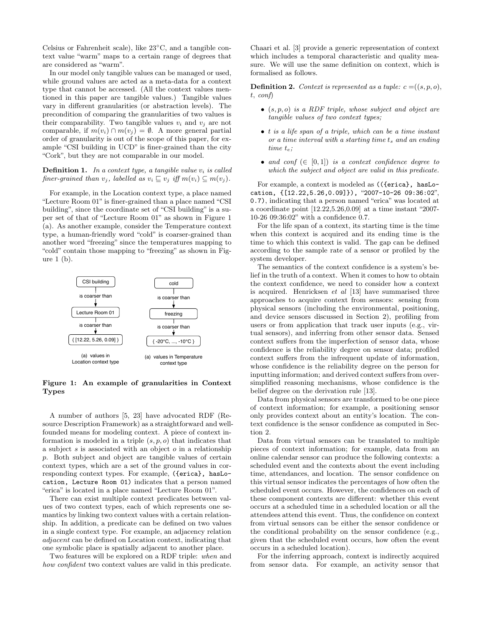Celsius or Fahrenheit scale), like 23◦C, and a tangible context value "warm" maps to a certain range of degrees that are considered as "warm".

In our model only tangible values can be managed or used, while ground values are acted as a meta-data for a context type that cannot be accessed. (All the context values mentioned in this paper are tangible values.) Tangible values vary in different granularities (or abstraction levels). The precondition of comparing the granularities of two values is their comparability. Two tangible values  $v_i$  and  $v_j$  are not comparable, if  $m(v_i) \cap m(v_j) = \emptyset$ . A more general partial order of granularity is out of the scope of this paper, for example "CSI building in UCD" is finer-grained than the city "Cork", but they are not comparable in our model.

#### **Definition 1.** In a context type, a tangible value v*<sup>i</sup>* is called finer-grained than  $v_j$ , labelled as  $v_i \sqsubseteq v_j$  iff  $m(v_i) \subseteq m(v_j)$ .

For example, in the Location context type, a place named "Lecture Room 01" is finer-grained than a place named "CSI building", since the coordinate set of "CSI building" is a super set of that of "Lecture Room 01" as shown in Figure 1 (a). As another example, consider the Temperature context type, a human-friendly word "cold" is coarser-grained than another word "freezing" since the temperatures mapping to "cold" contain those mapping to "freezing" as shown in Figure 1 (b).



**Figure 1: An example of granularities in Context Types**

A number of authors [5, 23] have advocated RDF (Resource Description Framework) as a straightforward and wellfounded means for modeling context. A piece of context information is modeled in a triple  $(s, p, o)$  that indicates that a subject  $s$  is associated with an object  $o$  in a relationship p. Both subject and object are tangible values of certain context types, which are a set of the ground values in corresponding context types. For example, ({erica}, hasLocation, Lecture Room 01) indicates that a person named "erica" is located in a place named "Lecture Room 01".

There can exist multiple context predicates between values of two context types, each of which represents one semantics by linking two context values with a certain relationship. In addition, a predicate can be defined on two values in a single context type. For example, an adjacency relation adjacent can be defined on Location context, indicating that one symbolic place is spatially adjacent to another place.

Two features will be explored on a RDF triple: when and how confident two context values are valid in this predicate.

Chaari et al. [3] provide a generic representation of context which includes a temporal characteristic and quality measure. We will use the same definition on context, which is formalised as follows.

**Definition 2.** Context is represented as a tuple:  $c = ((s, p, o),$ t, conf)

- $\bullet$   $(s, p, o)$  is a RDF triple, whose subject and object are tangible values of two context types;
- t is a life span of a triple, which can be a time instant or a time interval with a starting time t*<sup>s</sup>* and an ending time t*e*;
- and conf  $(\in [0, 1])$  is a context confidence degree to which the subject and object are valid in this predicate.

For example, a context is modeled as (({erica}, hasLocation, {[12.22,5.26,0.09]}), "2007-10-26 09:36:02", 0.7), indicating that a person named "erica" was located at a coordinate point [12.22,5.26,0.09] at a time instant "2007- 10-26 09:36:02" with a confidence 0.7.

For the life span of a context, its starting time is the time when this context is acquired and its ending time is the time to which this context is valid. The gap can be defined according to the sample rate of a sensor or profiled by the system developer.

The semantics of the context confidence is a system's belief in the truth of a context. When it comes to how to obtain the context confidence, we need to consider how a context is acquired. Henricksen  $et \ al \ [13]$  have summarised three approaches to acquire context from sensors: sensing from physical sensors (including the environmental, positioning, and device sensors discussed in Section 2), profiling from users or from application that track user inputs (e.g., virtual sensors), and inferring from other sensor data. Sensed context suffers from the imperfection of sensor data, whose confidence is the reliability degree on sensor data; profiled context suffers from the infrequent update of information, whose confidence is the reliability degree on the person for inputting information; and derived context suffers from oversimplified reasoning mechanisms, whose confidence is the belief degree on the derivation rule [13].

Data from physical sensors are transformed to be one piece of context information; for example, a positioning sensor only provides context about an entity's location. The context confidence is the sensor confidence as computed in Section 2.

Data from virtual sensors can be translated to multiple pieces of context information; for example, data from an online calendar sensor can produce the following contexts: a scheduled event and the contexts about the event including time, attendances, and location. The sensor confidence on this virtual sensor indicates the percentages of how often the scheduled event occurs. However, the confidences on each of these component contexts are different: whether this event occurs at a scheduled time in a scheduled location or all the attendees attend this event. Thus, the confidence on context from virtual sensors can be either the sensor confidence or the conditional probability on the sensor confidence (e.g., given that the scheduled event occurs, how often the event occurs in a scheduled location).

For the inferring approach, context is indirectly acquired from sensor data. For example, an activity sensor that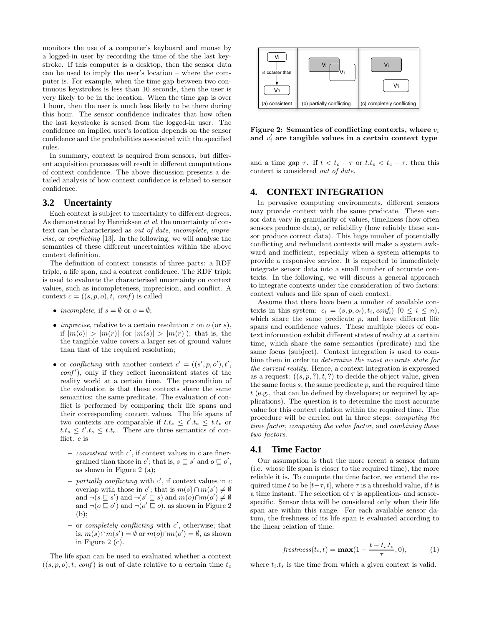monitors the use of a computer's keyboard and mouse by a logged-in user by recording the time of the the last keystroke. If this computer is a desktop, then the sensor data can be used to imply the user's location – where the computer is. For example, when the time gap between two continuous keystrokes is less than 10 seconds, then the user is very likely to be in the location. When the time gap is over 1 hour, then the user is much less likely to be there during this hour. The sensor confidence indicates that how often the last keystroke is sensed from the logged-in user. The confidence on implied user's location depends on the sensor confidence and the probabilities associated with the specified rules.

In summary, context is acquired from sensors, but different acquisition processes will result in different computations of context confidence. The above discussion presents a detailed analysis of how context confidence is related to sensor confidence.

#### **3.2 Uncertainty**

Each context is subject to uncertainty to different degrees. As demonstrated by Henricksen *et al*, the uncertainty of context can be characterised as out of date, incomplete, imprecise, or conflicting [13]. In the following, we will analyse the semantics of these different uncertainties within the above context definition.

The definition of context consists of three parts: a RDF triple, a life span, and a context confidence. The RDF triple is used to evaluate the characterised uncertainty on context values, such as incompleteness, imprecision, and conflict. A context  $c = ((s, p, o), t, conf)$  is called

- incomplete, if  $s = \emptyset$  or  $o = \emptyset$ ;
- *imprecise*, relative to a certain resolution  $r$  on  $o$  (or  $s$ ), if  $|m(o)| > |m(r)|$  (or  $|m(s)| > |m(r)|$ ); that is, the the tangible value covers a larger set of ground values than that of the required resolution;
- or conflicting with another context  $c' = ((s', p, o'), t',$  $\text{conf'}$ ), only if they reflect inconsistent states of the reality world at a certain time. The precondition of the evaluation is that these contexts share the same semantics: the same predicate. The evaluation of conflict is performed by comparing their life spans and their corresponding context values. The life spans of two contexts are comparable if  $t.t_s \leq t'.t_e \leq t.t_e$  or  $t.t_s \leq t'.t_s \leq t.t_e$ . There are three semantics of conflict. c is
	- **–** consistent with c , if context values in c are finergrained than those in c'; that is,  $s \sqsubseteq s'$  and  $o \sqsubseteq o'$ , as shown in Figure 2 (a);
	- **–** partially conflicting with c , if context values in c overlap with those in c'; that is  $m(s) \cap m(s') \neq \emptyset$ and  $\neg(s \sqsubseteq s')$  and  $\neg(s' \sqsubseteq s)$  and  $m(o) \cap m(o') \neq \emptyset$ and  $\neg(o \sqsubseteq o')$  and  $\neg(o' \sqsubseteq o)$ , as shown in Figure 2 (b);
	- **–** or completely conflicting with c , otherwise; that is,  $m(s) \cap m(s') = \emptyset$  or  $m(o) \cap m(o') = \emptyset$ , as shown in Figure 2 (c).

The life span can be used to evaluated whether a context  $((s, p, o), t, \text{conf})$  is out of date relative to a certain time  $t_c$ 



**Figure 2: Semantics of conflicting contexts, where** v*<sup>i</sup>* **and** v *<sup>i</sup>* **are tangible values in a certain context type**

and a time gap  $\tau$ . If  $t < t_c - \tau$  or  $t.t_e < t_c - \tau$ , then this context is considered out of date.

## **4. CONTEXT INTEGRATION**

In pervasive computing environments, different sensors may provide context with the same predicate. These sensor data vary in granularity of values, timeliness (how often sensors produce data), or reliability (how reliably these sensor produce correct data). This huge number of potentially conflicting and redundant contexts will make a system awkward and inefficient, especially when a system attempts to provide a responsive service. It is expected to immediately integrate sensor data into a small number of accurate contexts. In the following, we will discuss a general approach to integrate contexts under the consideration of two factors: context values and life span of each context.

Assume that there have been a number of available contexts in this system:  $c_i = (s, p, o_i), t_i, conf_i$ )  $(0 \leq i \leq n)$ , which share the same predicate  $p$ , and have different life spans and confidence values. These multiple pieces of context information exhibit different states of reality at a certain time, which share the same semantics (predicate) and the same focus (subject). Context integration is used to combine them in order to determine the most accurate state for the current reality. Hence, a context integration is expressed as a request:  $((s, p, ?), t, ?)$  to decide the object value, given the same focus  $s$ , the same predicate  $p$ , and the required time t (e.g., that can be defined by developers; or required by applications). The question is to determine the most accurate value for this context relation within the required time. The procedure will be carried out in three steps: computing the time factor, computing the value factor, and combining these two factors.

#### **4.1 Time Factor**

Our assumption is that the more recent a sensor datum (i.e. whose life span is closer to the required time), the more reliable it is. To compute the time factor, we extend the required time t to be  $[t-\tau, t]$ , where  $\tau$  is a threshold value, if t is a time instant. The selection of  $\tau$  is application- and sensorspecific. Sensor data will be considered only when their life span are within this range. For each available sensor datum, the freshness of its life span is evaluated according to the linear relation of time:

$$
freshness(t_i, t) = \max(1 - \frac{t - t_i \cdot t_s}{\tau}, 0), \tag{1}
$$

where  $t_i \cdot t_s$  is the time from which a given context is valid.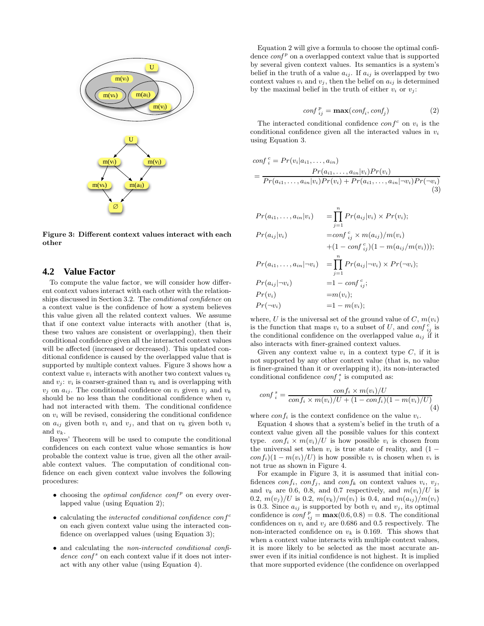

**Figure 3: Different context values interact with each other**

#### **4.2 Value Factor**

To compute the value factor, we will consider how different context values interact with each other with the relationships discussed in Section 3.2. The conditional confidence on a context value is the confidence of how a system believes this value given all the related context values. We assume that if one context value interacts with another (that is, these two values are consistent or overlapping), then their conditional confidence given all the interacted context values will be affected (increased or decreased). This updated conditional confidence is caused by the overlapped value that is supported by multiple context values. Figure 3 shows how a context value  $v_i$  interacts with another two context values  $v_k$ and  $v_j$ :  $v_i$  is coarser-grained than  $v_k$  and is overlapping with  $v_i$  on  $a_{ij}$ . The conditional confidence on  $v_i$  given  $v_j$  and  $v_k$ should be no less than the conditional confidence when  $v_i$ had not interacted with them. The conditional confidence on v*<sup>i</sup>* will be revised, considering the conditional confidence on  $a_{ij}$  given both  $v_i$  and  $v_j$ , and that on  $v_k$  given both  $v_i$ and  $v_k$ .

Bayes' Theorem will be used to compute the conditional confidences on each context value whose semantics is how probable the context value is true, given all the other available context values. The computation of conditional confidence on each given context value involves the following procedures:

- choosing the *optimal confidence*  $\text{conf}^p$  on every overlapped value (using Equation 2);
- $\bullet$  calculating the *interacted conditional confidence conf<sup>c</sup>* on each given context value using the interacted confidence on overlapped values (using Equation 3);
- and calculating the non-interacted conditional confidence conf<sup>s</sup> on each context value if it does not interact with any other value (using Equation 4).

Equation 2 will give a formula to choose the optimal confidence  $\text{conf}^p$  on a overlapped context value that is supported by several given context values. Its semantics is a system's belief in the truth of a value  $a_{ij}$ . If  $a_{ij}$  is overlapped by two context values  $v_i$  and  $v_j$ , then the belief on  $a_{ij}$  is determined by the maximal belief in the truth of either  $v_i$  or  $v_j$ :

$$
conf_{ij}^{p} = \max(conf_i, conf_j)
$$
\n(2)

The interacted conditional confidence  $conf^c$  on  $v_i$  is the conditional confidence given all the interacted values in v*<sup>i</sup>* using Equation 3.

$$
conf_i^c = Pr(v_i|a_{i1},...,a_{in})
$$
  
= 
$$
\frac{Pr(a_{i1},...,a_{in}|v_i)Pr(v_i)}{Pr(a_{i1},...,a_{in}|v_i)Pr(v_i) + Pr(a_{i1},...,a_{in}|\neg v_i)Pr(\neg v_i)}
$$
  
(3)

$$
Pr(a_{i1},...,a_{in}|v_i) = \prod_{j=1}^{n} Pr(a_{ij}|v_i) \times Pr(v_i);
$$
  
\n
$$
Pr(a_{ij}|v_i) = conf_{ij}^c \times m(a_{ij})/m(v_i)
$$
  
\n
$$
+(1 - conf_{ij}^c)(1 - m(a_{ij}/m(v_i))),
$$
  
\n
$$
Pr(a_{i1},...,a_{in}|\neg v_i) = \prod_{j=1}^{n} Pr(a_{ij}|\neg v_i) \times Pr(\neg v_i);
$$
  
\n
$$
Pr(a_{ij}|\neg v_i) = 1 - conf_{ij}^c;
$$
  
\n
$$
Pr(v_i) = m(v_i);
$$
  
\n
$$
Pr(\neg v_i) = 1 - m(v_i);
$$

where, U is the universal set of the ground value of  $C, m(v_i)$ is the function that maps  $v_i$  to a subset of U, and conf  $\frac{c}{ij}$  is the conditional confidence on the overlapped value  $a_{ij}$  if it also interacts with finer-grained context values.

Given any context value  $v_i$  in a context type  $C$ , if it is not supported by any other context value (that is, no value is finer-grained than it or overlapping it), its non-interacted conditional confidence  $\text{conf}_{i}^{s}$  is computed as:

$$
conf_i^s = \frac{conf_i \times m(v_i)/U}{conf_i \times m(v_i)/U + (1 - conf_i)(1 - m(v_i)/U)}
$$
\n(4)

where  $conf_i$  is the context confidence on the value  $v_i$ .

Equation 4 shows that a system's belief in the truth of a context value given all the possible values for this context type.  $\text{conf}_i \times \frac{m(v_i)}{U}$  is how possible  $v_i$  is chosen from the universal set when  $v_i$  is true state of reality, and  $(1$  $conf_i(1 - m(v_i)/U)$  is how possible  $v_i$  is chosen when  $v_i$  is not true as shown in Figure 4.

For example in Figure 3, it is assumed that initial confidences  $conf_i$ ,  $conf_j$ , and  $conf_k$  on context values  $v_i$ ,  $v_j$ , and  $v_k$  are 0.6, 0.8, and 0.7 respectively, and  $m(v_i)/U$  is 0.2,  $m(v_j)/U$  is 0.2,  $m(v_k)/m(v_i)$  is 0.4, and  $m(a_{ij})/m(v_i)$ is 0.3. Since  $a_{ij}$  is supported by both  $v_i$  and  $v_j$ , its optimal confidence is  $\text{conf }^p_{ij} = \max(0.6, 0.8) = 0.8$ . The conditional confidences on  $v_i$  and  $v_j$  are 0.686 and 0.5 respectively. The non-interacted confidence on  $v_k$  is 0.169. This shows that when a context value interacts with multiple context values, it is more likely to be selected as the most accurate answer even if its initial confidence is not highest. It is implied that more supported evidence (the confidence on overlapped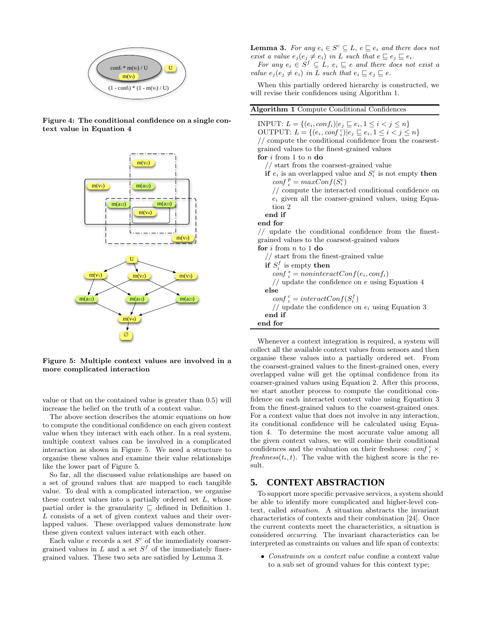

**Figure 4: The conditional confidence on a single context value in Equation 4**



**Figure 5: Multiple context values are involved in a more complicated interaction**

value or that on the contained value is greater than 0.5) will increase the belief on the truth of a context value.

The above section describes the atomic equations on how to compute the conditional confidence on each given context value when they interact with each other. In a real system, multiple context values can be involved in a complicated interaction as shown in Figure 5. We need a structure to organise these values and examine their value relationships like the lower part of Figure 5.

So far, all the discussed value relationships are based on a set of ground values that are mapped to each tangible value. To deal with a complicated interaction, we organise these context values into a partially ordered set  $L$ , whose partial order is the granularity  $\subseteq$  defined in Definition 1. L consists of a set of given context values and their overlapped values. These overlapped values demonstrate how these given context values interact with each other.

Each value  $e$  records a set  $S^c$  of the immediately coarsergrained values in  $L$  and a set  $S<sup>f</sup>$  of the immediately finergrained values. These two sets are satisfied by Lemma 3.

**Lemma 3.** For any  $e_i \in S^c \subseteq L$ ,  $e \sqsubseteq e_i$  and there does not exist a value  $e_j(e_j \neq e_i)$  in L such that  $e \sqsubseteq e_j \sqsubseteq e_i$ .

For any  $e_i \in S^f \subseteq L$ ,  $e_i \sqsubseteq e$  and there does not exist a value  $e_j(e_j \neq e_i)$  in L such that  $e_i \sqsubseteq e_j \sqsubseteq e$ .

When this partially ordered hierarchy is constructed, we will revise their confidences using Algorithm 1.

| <b>Algorithm 1</b> Compute Conditional Confidences |  |
|----------------------------------------------------|--|
|----------------------------------------------------|--|

INPUT:  $L = \{(e_i, conf_i) | e_j \sqsubseteq e_i, 1 \le i < j \le n\}$ OUTPUT:  $L = \{(e_i, conf_i^c) | e_j \sqsubseteq e_i, 1 \le i < j \le n\}$ // compute the conditional confidence from the coarsestgrained values to the finest-grained values **for** i from 1 to n **do**  $//$  start from the coarsest-grained value **if**  $e_i$  is an overlapped value and  $S_i^c$  is not empty **then**  $conf_i^p = maxConf(S_i^c)$ // compute the interacted conditional confidence on  $e_i$  given all the coarser-grained values, using Equation 2 **end if end for** // update the conditional confidence from the finestgrained values to the coarsest-grained values **for** i from n to 1 **do** // start from the finest-grained value **if**  $S_i^f$  is empty **then**  $conf_i^s = noninteractConf(e_i, conf_i)$  $//$  update the confidence on  $e$  using Equation 4 **else**  $\text{conf }^c_i = \text{interactConf}(S_i^f)$  $\frac{1}{2}$  update the confidence on  $e_i$  using Equation 3 **end if end for**

Whenever a context integration is required, a system will collect all the available context values from sensors and then organise these values into a partially ordered set. From the coarsest-grained values to the finest-grained ones, every overlapped value will get the optimal confidence from its coarser-grained values using Equation 2. After this process, we start another process to compute the conditional confidence on each interacted context value using Equation 3 from the finest-grained values to the coarsest-grained ones. For a context value that does not involve in any interaction, its conditional confidence will be calculated using Equation 4. To determine the most accurate value among all the given context values, we will combine their conditional confidences and the evaluation on their freshness:  $\, \it conf\, {}^c_i \times$  $freshness(t_i, t)$ . The value with the highest score is the result.

## **5. CONTEXT ABSTRACTION**

To support more specific pervasive services, a system should be able to identify more complicated and higher-level context, called situation. A situation abstracts the invariant characteristics of contexts and their combination [24]. Once the current contexts meet the characteristics, a situation is considered occurring. The invariant characteristics can be interpreted as constraints on values and life span of contexts:

• Constraints on a context value confine a context value to a sub set of ground values for this context type;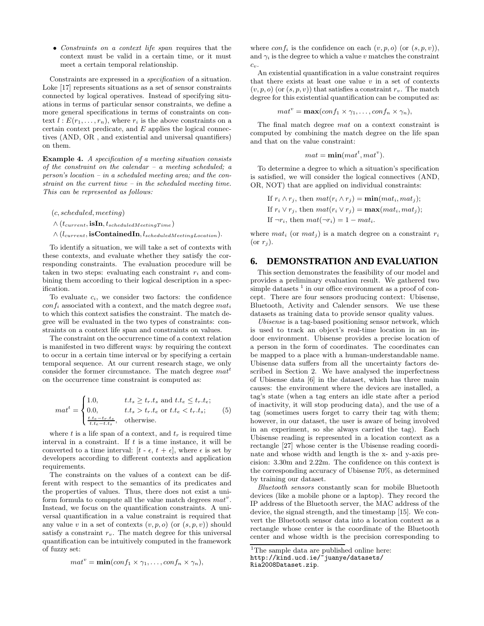• Constraints on a context life span requires that the context must be valid in a certain time, or it must meet a certain temporal relationship.

Constraints are expressed in a specification of a situation. Loke [17] represents situations as a set of sensor constraints connected by logical operatives. Instead of specifying situations in terms of particular sensor constraints, we define a more general specifications in terms of constraints on context  $l : E(r_1, \ldots, r_n)$ , where  $r_i$  is the above constraints on a certain context predicate, and  $E$  applies the logical connectives (AND, OR , and existential and universal quantifiers) on them.

**Example 4.** A specification of a meeting situation consists of the constraint on the calendar  $-$  a meeting scheduled; a person's location – in a scheduled meeting area; and the constraint on the current time – in the scheduled meeting time. This can be represented as follows:

(c, scheduled, meeting)

 $\wedge$  ( $t_{current}$ , **isIn**,  $t_{scheduledMethodTime}$ )

∧ (l*current*, **isContainedIn**, l*scheduledMeetingLocation*).

To identify a situation, we will take a set of contexts with these contexts, and evaluate whether they satisfy the corresponding constraints. The evaluation procedure will be taken in two steps: evaluating each constraint  $r_i$  and combining them according to their logical description in a specification.

To evaluate  $c_i$ , we consider two factors: the confidence conf*<sup>i</sup>* associated with a context, and the match degree mat*<sup>i</sup>* to which this context satisfies the constraint. The match degree will be evaluated in the two types of constraints: constraints on a context life span and constraints on values.

The constraint on the occurrence time of a context relation is manifested in two different ways: by requiring the context to occur in a certain time interval or by specifying a certain temporal sequence. At our current research stage, we only consider the former circumstance. The match degree mat*<sup>t</sup>* on the occurrence time constraint is computed as:

$$
matt = \begin{cases} 1.0, & t.t_s \ge t_r.t_s \text{ and } t.t_e \le t_r.t_e; \\ 0.0, & t.t_s > t_r.t_e \text{ or } t.t_e < t_r.t_s; \\ \frac{t.t_e - t_r.t_s}{t.t_e - t.t_s}, & \text{otherwise.} \end{cases}
$$
(5)

where  $t$  is a life span of a context, and  $t_r$  is required time interval in a constraint. If  $t$  is a time instance, it will be converted to a time interval:  $[t - \epsilon, t + \epsilon]$ , where  $\epsilon$  is set by developers according to different contexts and application requirements.

The constraints on the values of a context can be different with respect to the semantics of its predicates and the properties of values. Thus, there does not exist a uniform formula to compute all the value match degrees mat*<sup>v</sup>*. Instead, we focus on the quantification constraints. A universal quantification in a value constraint is required that any value v in a set of contexts  $(v, p, o)$  (or  $(s, p, v)$ ) should satisfy a constraint  $r_v$ . The match degree for this universal quantification can be intuitively computed in the framework of fuzzy set:

$$
matv = \min(conf_1 \times \gamma_1, \ldots, conf_n \times \gamma_n),
$$

where  $conf_i$  is the confidence on each  $(v, p, o)$  (or  $(s, p, v)$ ), and  $\gamma_i$  is the degree to which a value v matches the constraint  $c_v$ 

An existential quantification in a value constraint requires that there exists at least one value  $v$  in a set of contexts  $(v, p, o)$  (or  $(s, p, v)$ ) that satisfies a constraint  $r_v$ . The match degree for this existential quantification can be computed as:

$$
matv = \max(conf_1 \times \gamma_1, \ldots, conf_n \times \gamma_n),
$$

The final match degree mat on a context constraint is computed by combining the match degree on the life span and that on the value constraint:

$$
mat = \min(mat^t, mat^v).
$$

To determine a degree to which a situation's specification is satisfied, we will consider the logical connectives (AND, OR, NOT) that are applied on individual constraints:

If 
$$
r_i \wedge r_j
$$
, then  $mat(r_i \wedge r_j) = \min(mati, mat_j)$ ;  
If  $r_i \vee r_j$ , then  $mat(r_i \vee r_j) = \max(mati, mat_j)$ ;  
If  $\neg r_i$ , then  $mat(\neg r_i) = 1 - mat_i$ .

where  $mat_i$  (or  $mat_i$ ) is a match degree on a constraint  $r_i$  $(or r<sub>i</sub>)$ .

## **6. DEMONSTRATION AND EVALUATION**

This section demonstrates the feasibility of our model and provides a preliminary evaluation result. We gathered two simple datasets  $1$  in our office environment as a proof of concept. There are four sensors producing context: Ubisense, Bluetooth, Activity and Calender sensors. We use these datasets as training data to provide sensor quality values.

Ubisense is a tag-based positioning sensor network, which is used to track an object's real-time location in an indoor environment. Ubisense provides a precise location of a person in the form of coordinates. The coordinates can be mapped to a place with a human-understandable name. Ubisense data suffers from all the uncertainty factors described in Section 2. We have analysed the imperfectness of Ubisense data [6] in the dataset, which has three main causes: the environment where the devices are installed, a tag's state (when a tag enters an idle state after a period of inactivity, it will stop producing data), and the use of a tag (sometimes users forget to carry their tag with them; however, in our dataset, the user is aware of being involved in an experiment, so she always carried the tag). Each Ubisense reading is represented in a location context as a rectangle [27] whose center is the Ubisense reading coordinate and whose width and length is the x- and y-axis precision: 3.30m and 2.22m. The confidence on this context is the corresponding accuracy of Ubisense 70%, as determined by training our dataset.

Bluetooth sensors constantly scan for mobile Bluetooth devices (like a mobile phone or a laptop). They record the IP address of the Bluetooth server, the MAC address of the device, the signal strength, and the timestamp [15]. We convert the Bluetooth sensor data into a location context as a rectangle whose center is the coordinate of the Bluetooth center and whose width is the precision corresponding to

 $\rm ^1The$  sample data are published online here:

http://kind.ucd.ie/~juanye/datasets/

Ria2008Dataset.zip.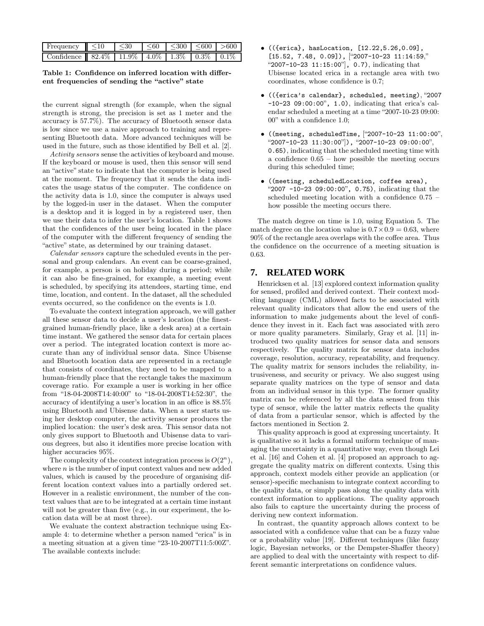| Frequency $\leq 10$                              | $\leq 30$ |  | $\leq 60$ $\leq 300$ $\leq 600$ $\geq 600$ |
|--------------------------------------------------|-----------|--|--------------------------------------------|
| Confidence 82.4\% 11.9\% 4.0\% 1.3\% 0.3\% 0.1\% |           |  |                                            |

#### **Table 1: Confidence on inferred location with different frequencies of sending the "active" state**

the current signal strength (for example, when the signal strength is strong, the precision is set as 1 meter and the accuracy is 57.7%). The accuracy of Bluetooth sensor data is low since we use a naive approach to training and representing Bluetooth data. More advanced techniques will be used in the future, such as those identified by Bell et al. [2].

Activity sensors sense the activities of keyboard and mouse. If the keyboard or mouse is used, then this sensor will send an "active" state to indicate that the computer is being used at the moment. The frequency that it sends the data indicates the usage status of the computer. The confidence on the activity data is 1.0, since the computer is always used by the logged-in user in the dataset. When the computer is a desktop and it is logged in by a registered user, then we use their data to infer the user's location. Table 1 shows that the confidences of the user being located in the place of the computer with the different frequency of sending the "active" state, as determined by our training dataset.

Calendar sensors capture the scheduled events in the personal and group calendars. An event can be coarse-grained, for example, a person is on holiday during a period; while it can also be fine-grained, for example, a meeting event is scheduled, by specifying its attendees, starting time, end time, location, and content. In the dataset, all the scheduled events occurred, so the confidence on the events is 1.0.

To evaluate the context integration approach, we will gather all these sensor data to decide a user's location (the finestgrained human-friendly place, like a desk area) at a certain time instant. We gathered the sensor data for certain places over a period. The integrated location context is more accurate than any of individual sensor data. Since Ubisense and Bluetooth location data are represented in a rectangle that consists of coordinates, they need to be mapped to a human-friendly place that the rectangle takes the maximum coverage ratio. For example a user is working in her office from "18-04-2008T14:40:00" to "18-04-2008T14:52:30", the accuracy of identifying a user's location in an office is 88.5% using Bluetooth and Ubisense data. When a user starts using her desktop computer, the activity sensor produces the implied location: the user's desk area. This sensor data not only gives support to Bluetooth and Ubisense data to various degrees, but also it identifies more precise location with higher accuracies 95%.

The complexity of the context integration process is  $O(2^n)$ , where  $n$  is the number of input context values and new added values, which is caused by the procedure of organising different location context values into a partially ordered set. However in a realistic environment, the number of the context values that are to be integrated at a certain time instant will not be greater than five (e.g., in our experiment, the location data will be at most three).

We evaluate the context abstraction technique using Example 4: to determine whether a person named "erica" is in a meeting situation at a given time "23-10-2007T11:5:00Z". The available contexts include:

- (({erica}, hasLocation, [12.22,5.26,0.09], [15.52, 7.48, 0.09]), ["2007-10-23 11:14:59," "2007-10-23 11:15:00"], 0.7), indicating that Ubisense located erica in a rectangle area with two coordinates, whose confidence is 0.7;
- (({erica's calendar}, scheduled, meeting), "2007 -10-23 09:00:00", 1.0), indicating that erica's calendar scheduled a meeting at a time "2007-10-23 09:00: 00" with a confidence 1.0;
- ((meeting, scheduledTime, ["2007-10-23 11:00:00", "2007-10-23 11:30:00"]), "2007-10-23 09:00:00", 0.65), indicating that the scheduled meeting time with a confidence 0.65 – how possible the meeting occurs during this scheduled time;
- ((meeting, scheduledLocation, coffee area), "2007 -10-23 09:00:00", 0.75), indicating that the scheduled meeting location with a confidence 0.75 – how possible the meeting occurs there.

The match degree on time is 1.0, using Equation 5. The match degree on the location value is  $0.7 \times 0.9 = 0.63$ , where 90% of the rectangle area overlaps with the coffee area. Thus the confidence on the occurrence of a meeting situation is 0.63.

#### **7. RELATED WORK**

Henricksen et al. [13] explored context information quality for sensed, profiled and derived context. Their context modeling language (CML) allowed facts to be associated with relevant quality indicators that allow the end users of the information to make judgements about the level of confidence they invest in it. Each fact was associated with zero or more quality parameters. Similarly, Gray et al. [11] introduced two quality matrices for sensor data and sensors respectively. The quality matrix for sensor data includes coverage, resolution, accuracy, repeatability, and frequency. The quality matrix for sensors includes the reliability, intrusiveness, and security or privacy. We also suggest using separate quality matrices on the type of sensor and data from an individual sensor in this type. The former quality matrix can be referenced by all the data sensed from this type of sensor, while the latter matrix reflects the quality of data from a particular sensor, which is affected by the factors mentioned in Section 2.

This quality approach is good at expressing uncertainty. It is qualitative so it lacks a formal uniform technique of managing the uncertainty in a quantitative way, even though Lei et al. [16] and Cohen et al. [4] proposed an approach to aggregate the quality matrix on different contexts. Using this approach, context models either provide an application (or sensor)-specific mechanism to integrate context according to the quality data, or simply pass along the quality data with context information to applications. The quality approach also fails to capture the uncertainty during the process of deriving new context information.

In contrast, the quantity approach allows context to be associated with a confidence value that can be a fuzzy value or a probability value [19]. Different techniques (like fuzzy logic, Bayesian networks, or the Dempster-Shaffer theory) are applied to deal with the uncertainty with respect to different semantic interpretations on confidence values.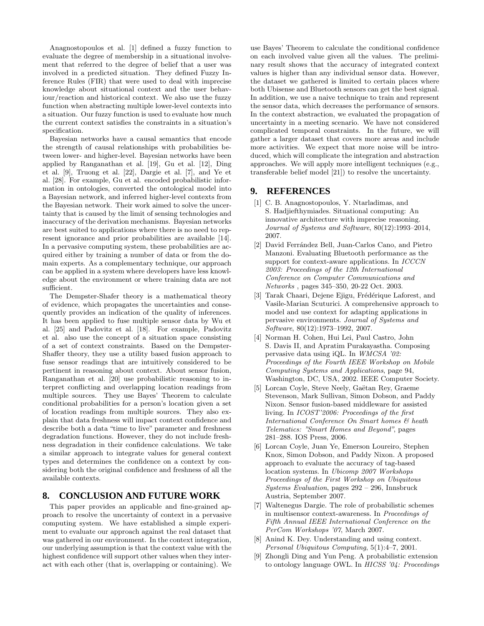Anagnostopoulos et al. [1] defined a fuzzy function to evaluate the degree of membership in a situational involvement that referred to the degree of belief that a user was involved in a predicted situation. They defined Fuzzy Inference Rules (FIR) that were used to deal with imprecise knowledge about situational context and the user behaviour/reaction and historical context. We also use the fuzzy function when abstracting multiple lower-level contexts into a situation. Our fuzzy function is used to evaluate how much the current context satisfies the constraints in a situation's specification.

Bayesian networks have a causal semantics that encode the strength of causal relationships with probabilities between lower- and higher-level. Bayesian networks have been applied by Ranganathan et al. [19], Gu et al. [12], Ding et al. [9], Truong et al. [22], Dargie et al. [7], and Ye et al. [28]. For example, Gu et al. encoded probabilistic information in ontologies, converted the ontological model into a Bayesian network, and inferred higher-level contexts from the Bayesian network. Their work aimed to solve the uncertainty that is caused by the limit of sensing technologies and inaccuracy of the derivation mechanisms. Bayesian networks are best suited to applications where there is no need to represent ignorance and prior probabilities are available [14]. In a pervasive computing system, these probabilities are acquired either by training a number of data or from the domain experts. As a complementary technique, our approach can be applied in a system where developers have less knowledge about the environment or where training data are not sufficient.

The Dempster-Shafer theory is a mathematical theory of evidence, which propagates the uncertainties and consequently provides an indication of the quality of inferences. It has been applied to fuse multiple sensor data by Wu et al. [25] and Padovitz et al. [18]. For example, Padovitz et al. also use the concept of a situation space consisting of a set of context constraints. Based on the Dempster-Shaffer theory, they use a utility based fusion approach to fuse sensor readings that are intuitively considered to be pertinent in reasoning about context. About sensor fusion, Ranganathan et al. [20] use probabilistic reasoning to interpret conflicting and overlapping location readings from multiple sources. They use Bayes' Theorem to calculate conditional probabilities for a person's location given a set of location readings from multiple sources. They also explain that data freshness will impact context confidence and describe both a data "time to live" parameter and freshness degradation functions. However, they do not include freshness degradation in their confidence calculations. We take a similar approach to integrate values for general context types and determines the confidence on a context by considering both the original confidence and freshness of all the available contexts.

#### **8. CONCLUSION AND FUTURE WORK**

This paper provides an applicable and fine-grained approach to resolve the uncertainty of context in a pervasive computing system. We have established a simple experiment to evaluate our approach against the real dataset that was gathered in our environment. In the context integration, our underlying assumption is that the context value with the highest confidence will support other values when they interact with each other (that is, overlapping or containing). We

use Bayes' Theorem to calculate the conditional confidence on each involved value given all the values. The preliminary result shows that the accuracy of integrated context values is higher than any individual sensor data. However, the dataset we gathered is limited to certain places where both Ubisense and Bluetooth sensors can get the best signal. In addition, we use a naive technique to train and represent the sensor data, which decreases the performance of sensors. In the context abstraction, we evaluated the propagation of uncertainty in a meeting scenario. We have not considered complicated temporal constraints. In the future, we will gather a larger dataset that covers more areas and include more activities. We expect that more noise will be introduced, which will complicate the integration and abstraction approaches. We will apply more intelligent techniques (e.g., transferable belief model [21]) to resolve the uncertainty.

## **9. REFERENCES**

- [1] C. B. Anagnostopoulos, Y. Ntarladimas, and S. Hadjiefthymiades. Situational computing: An innovative architecture with imprecise reasoning. Journal of Systems and Software, 80(12):1993–2014, 2007.
- [2] David Ferrández Bell, Juan-Carlos Cano, and Pietro Manzoni. Evaluating Bluetooth performance as the support for context-aware applications. In ICCCN 2003: Proceedings of the 12th International Conference on Computer Communications and Networks , pages 345–350, 20-22 Oct. 2003.
- [3] Tarak Chaari, Dejene Ejigu, Frédérique Laforest, and Vasile-Marian Scuturici. A comprehensive approach to model and use context for adapting applications in pervasive environments. Journal of Systems and Software, 80(12):1973–1992, 2007.
- [4] Norman H. Cohen, Hui Lei, Paul Castro, John S. Davis II, and Apratim Purakayastha. Composing pervasive data using iQL. In WMCSA '02: Proceedings of the Fourth IEEE Workshop on Mobile Computing Systems and Applications, page 94, Washington, DC, USA, 2002. IEEE Computer Society.
- [5] Lorcan Coyle, Steve Neely, Gaëtan Rey, Graeme Stevenson, Mark Sullivan, Simon Dobson, and Paddy Nixon. Sensor fusion-based middleware for assisted living. In ICOST'2006: Proceedings of the first International Conference On Smart homes & heath Telematics: "Smart Homes and Beyond", pages 281–288. IOS Press, 2006.
- [6] Lorcan Coyle, Juan Ye, Emerson Loureiro, Stephen Knox, Simon Dobson, and Paddy Nixon. A proposed approach to evaluate the accuracy of tag-based location systems. In Ubicomp 2007 Workshops Proceedings of the First Workshop on Ubiquitous Systems Evaluation, pages 292 – 296, Innsbruck Austria, September 2007.
- [7] Waltenegus Dargie. The role of probabilistic schemes in multisensor context-awareness. In Proceedings of Fifth Annual IEEE International Conference on the PerCom Workshops '07, March 2007.
- [8] Anind K. Dey. Understanding and using context. Personal Ubiquitous Computing, 5(1):4–7, 2001.
- [9] Zhongli Ding and Yun Peng. A probabilistic extension to ontology language OWL. In HICSS '04: Proceedings